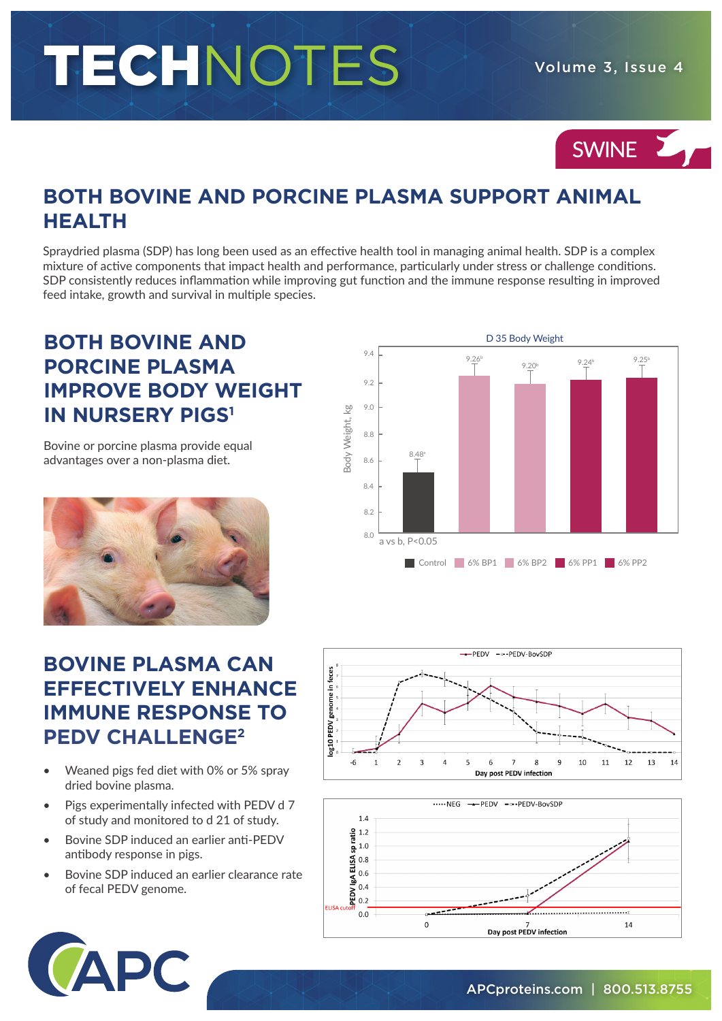# TECHNOTES Volume 3, Issue 4

## SWINE 2

### **BOTH BOVINE AND PORCINE PLASMA SUPPORT ANIMAL HEALTH**

Spraydried plasma (SDP) has long been used as an effective health tool in managing animal health. SDP is a complex mixture of active components that impact health and performance, particularly under stress or challenge conditions. SDP consistently reduces inflammation while improving gut function and the immune response resulting in improved feed intake, growth and survival in multiple species.

#### **BOTH BOVINE AND PORCINE PLASMA IMPROVE BODY WEIGHT IN NURSERY PIGS1**

Bovine or porcine plasma provide equal advantages over a non-plasma diet.



#### **BOVINE PLASMA CAN EFFECTIVELY ENHANCE IMMUNE RESPONSE TO PEDV CHALLENGE2**

- Weaned pigs fed diet with 0% or 5% spray dried bovine plasma.
- Pigs experimentally infected with PEDV d 7 of study and monitored to d 21 of study.
- Bovine SDP induced an earlier anti-PEDV antibody response in pigs.
- Bovine SDP induced an earlier clearance rate of fecal PEDV genome.